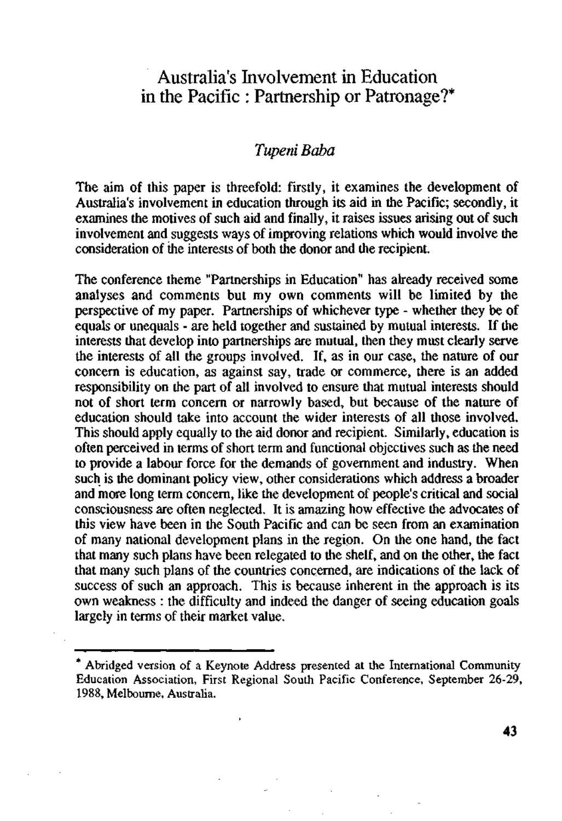# Australia's Involvement in Education in the Pacific : Partnership or Patronage?\*

# *Tupeni Baba*

The aim of this paper is threefold: firstly, it examines the development of Australia's involvement in education through its aid in the Pacific; secondly, it examines the motives of such aid and finally, it raises issues arising out of such involvement and suggests ways of improving relations which would involve the consideration of the interests of both the donor and the recipient.

The conference theme "Partnerships in Education" has already received some analyses and comments but my own comments will be limited by the perspective of my paper. Partnerships of whichever type - whether they be of equals or unequals - are held together and sustained by mutual interests. If the interests that develop into partnerships are mutual, then they must clearly serve the interests of all the groups involved. If, as in our case, the nature of our concern is education, as against say, trade or commerce, there is an added responsibility on the part of all involved to ensure that mutual interests should not of short term concern or narrowly based, but because of the nature of education should take into account the wider interests of all those involved. This should apply equally to the aid donor and recipient. Similarly, education is often perceived in terms of short term and functional objectives such as the need to provide a labour force for the demands of government and industry. When such is the dominant policy view, other considerations which address a broader and more long term concern, like the development of people's critical and social consciousness are often neglected. It is amazing how effective the advocates of this view have been in the South Pacific and can be seen from an examination of many national development plans in the region. On the one hand, the fact that many such plans have been relegated to the shelf, and on the other, the fact that many such plans of the countries concerned, are indications of the lack of success of such an approach. This is because inherent in the approach is its own weakness : the difficulty and indeed the danger of seeing education goals largely in terms of their market value.

Abridged version of a Keynote Address presented at the International Community Education Association, First Regional South Pacific Conference, September 26-29, 1988, Melbourne, Australia.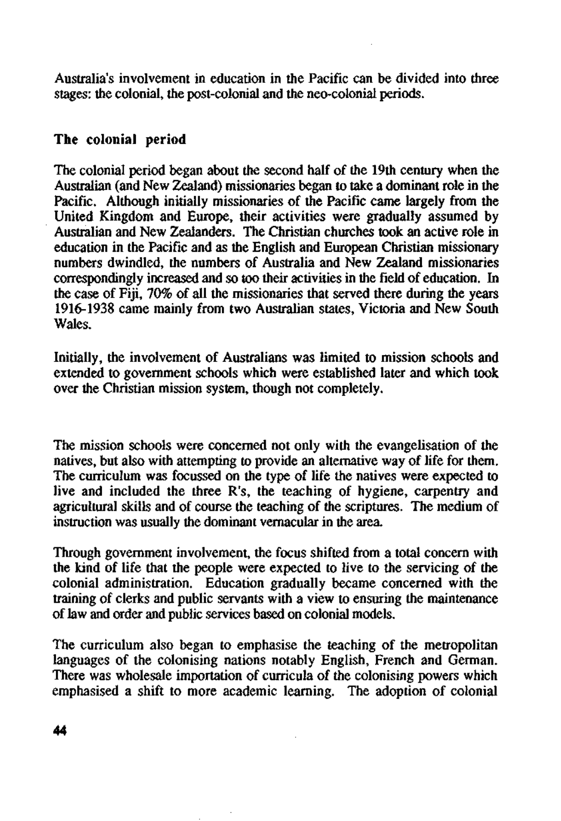Australia's involvement in education in the Pacific can be divided into three stages: the colonial, the post-colonial and the neo-colonial periods.

### **The colonial period**

The colonial period began about the second half of the 19th century when the Australian (and New Zealand) missionaries began to take a dominant role in the Pacific. Although initially missionaries of the Pacific came largely from the United Kingdom and Europe, their activities were gradually assumed by Australian and New Zealanders. The Christian churches took an active role in education in the Pacific and as the English and European Christian missionary numbers dwindled, the numbers of Australia and New Zealand missionaries correspondingly increased and so too their activities in the field of education. In the case of Fiji, 70% of all the missionaries that served there during the years 1916-1938 came mainly from two Australian states, Victoria and New South Wales.

Initially, the involvement of Australians was limited to mission schools and extended to government schools which were established later and which took over the Christian mission system, though not completely.

The mission schools were concerned not only with the evangelisation of the natives, but also with attempting to provide an alternative way of life for them. The curriculum was focussed on the type of life the natives were expected to live and included the three R's, the teaching of hygiene, carpentry and agricultural skills and of course the teaching of the scriptures. The medium of instruction was usually the dominant vernacular in the area.

Through government involvement, the focus shifted from a total concern with the kind of life that the people were expected to live to the servicing of the colonial administration. Education gradually became concerned with the training of clerks and public servants with a view to ensuring the maintenance of law and order and public services based on colonial models.

The curriculum also began to emphasise the teaching of the metropolitan languages of the colonising nations notably English, French and German. There was wholesale importation of curricula of the colonising powers which emphasised a shift to more academic learning. The adoption of colonial

**44**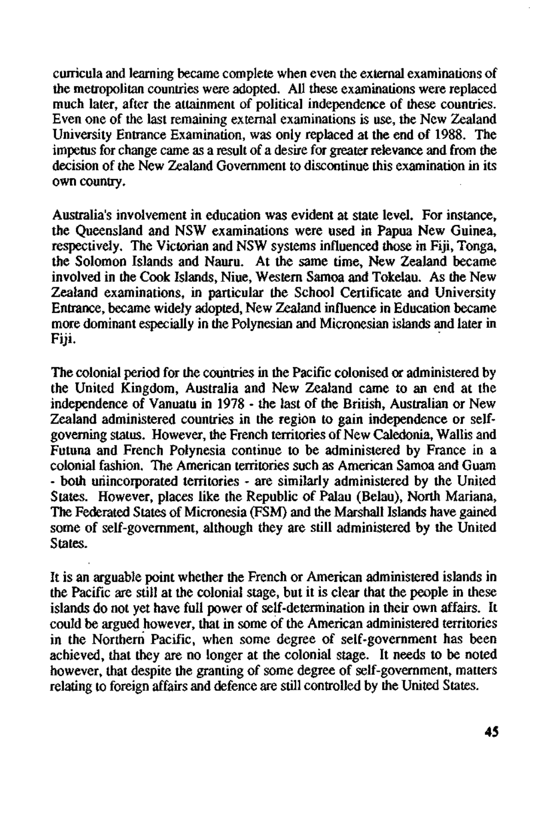curricula and learning became complete when even the external examinations of the metropolitan countries were adopted. All these examinations were replaced much later, after the attainment of political independence of these countries. Even one of the last remaining external examinations is use, the New Zealand University Entrance Examination, was only replaced at the end of 1988. The impetus for change came as a result of a desire for greater relevance and from the decision of the New Zealand Government to discontinue this examination in its own country.

Australia's involvement in education was evident at state level. For instance, the Queensland and NSW examinations were used in Papua New Guinea, respectively. The Victorian and NSW systems influenced those in Fiji, Tonga, the Solomon Islands and Nauru. At the same time, New Zealand became involved in the Cook Islands, Niue, Western Samoa and Tokelau. As the New Zealand examinations, in particular the School Certificate and University Entrance, became widely adopted, New Zealand influence in Education became more dominant especially in the Polynesian and Micronesian islands and later in Fiji.

The colonial period for the countries in the Pacific colonised or administered by the United Kingdom, Australia and New Zealand came to an end at the independence of Vanuatu in 1978 - the last of the British, Australian or New Zealand administered countries in the region to gain independence or selfgoverning status. However, the French territories of New Caledonia, Wallis and Futuna and French Polynesia continue to be administered by France in a colonial fashion. The American territories such as American Samoa and Guam - both unincorporated territories - are similarly administered by the United States. However, places like the Republic of Palau (Belau), North Mariana, The Federated States of Micronesia (FSM) and the Marshall Islands have gained some of self-government, although they are still administered by the United States.

It is an arguable point whether the French or American administered islands in the Pacific are still at the colonial stage, but it is clear that the people in these islands do not yet have full power of self-determination in their own affairs. It could be argued however, that in some of the American administered territories in the Northern Pacific, when some degree of self-government has been achieved, that they are no longer at the colonial stage. It needs to be noted however, that despite the granting of some degree of self-government, matters relating to foreign affairs and defence are still controlled by the United States.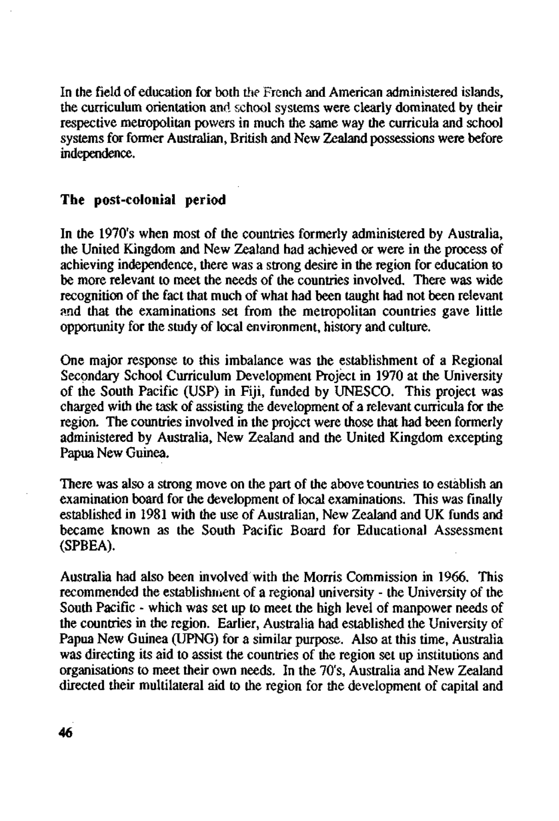In the field of education for both the French and American administered islands, the curriculum orientation and school systems were clearly dominated by their respective metropolitan powers in much the same way the curricula and school systems for former Australian, British and New Zealand possessions were before independence.

#### **The post-colonial** period

In the 1970's when most of the countries formerly administered by Australia, the United Kingdom and New Zealand had achieved or were in the process of achieving independence, there was a strong desire in the region for education to be more relevant to meet the needs of the countries involved. There was wide recognition of the fact that much of what had been taught had not been relevant and that the examinations set from the metropolitan countries gave little opportunity for the study of local environment, history and culture.

One major response to this imbalance was the establishment of a Regional Secondary School Curriculum Development Project in 1970 at the University of the South Pacific (USP) in Fiji, funded by UNESCO. This project was charged with the task of assisting the development of a relevant curricula for the region. The countries involved in the project were those that had been formerly administered by Australia, New Zealand and the United Kingdom excepting Papua New Guinea.

There was also a strong move on the part of the above countries to establish an examination board for the development of local examinations. This was finally established in 1981 with the use of Australian, New Zealand and UK funds and became known as the South Pacific Board for Educational Assessment (SPBEA).

Australia had also been involved with the Morris Commission in 1966. This recommended the establishment of a regional university - the University of the South Pacific - which was set up to meet the high level of manpower needs of the countries in the region. Earlier, Australia had established the University of Papua New Guinea (UPNG) for a similar purpose. Also at this time, Australia was directing its aid to assist the countries of the region set up institutions and organisations to meet their own needs. In the 70's, Australia and New Zealand directed their multilateral aid to the region for the development of capital and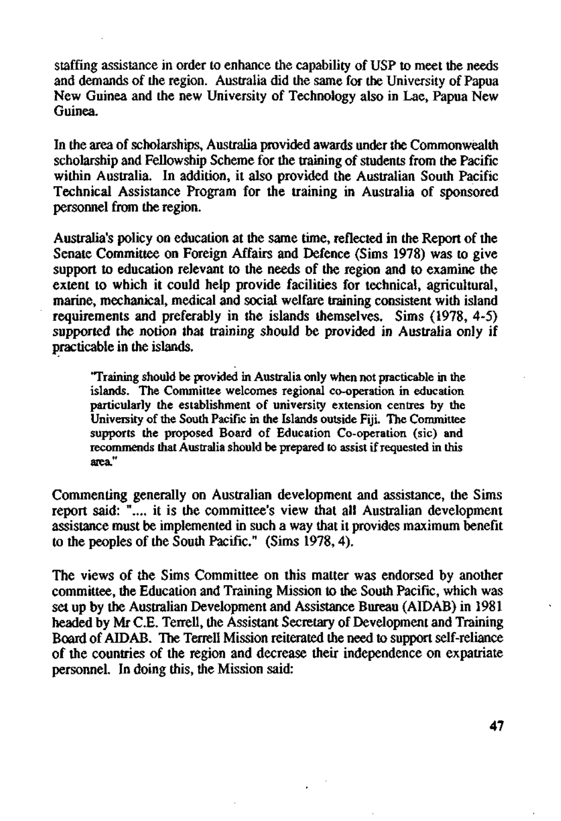staffing assistance in order to enhance the capability of USP to meet the needs and demands of the region. Australia did the same for the University of Papua New Guinea and the new University of Technology also in Lae, Papua New Guinea.

In the area of scholarships, Australia provided awards under the Commonwealth scholarship and Fellowship Scheme for the training of students from the Pacific within Australia. In addition, it also provided the Australian South Pacific Technical Assistance Program for the training in Australia of sponsored personnel from the region.

Australia's policy on education at the same time, reflected in the Report of the Senate Committee on Foreign Affairs and Defence (Sims 1978) was to give support to education relevant to the needs of the region and to examine the extent to which it could help provide facilities for technical, agricultural, marine, mechanical, medical and social welfare training consistent with island requirements and preferably in the islands themselves. Sims (1978, 4-5) supported the notion that training should be provided in Australia only if practicable in the islands.

'Training should be provided in Australia only when not practicable in the islands. The Committee welcomes regional co-operation in education particularly the establishment of university extension centres by the University of the South Pacific in the Islands outside Fiji. The Committee supports the proposed Board of Education Co-operation (sic) and recommends that Australia should be prepared to assist if requested in this area."

Commenting generally on Australian development and assistance, the Sims report said: ".... it is the committee's view that all Australian development assistance must be implemented in such a way that it provides maximum benefit to the peoples of the South Pacific." (Sims 1978,4).

The views of the Sims Committee on this matter was endorsed by another committee, the Education and Training Mission to the South Pacific, which was set up by the Australian Development and Assistance Bureau (AIDAB) in 1981 headed by Mr C.E. Terrell, the Assistant Secretary of Development and Training Board of AIDAB. The Terrell Mission reiterated the need to support self-reliance of the countries of the region and decrease their independence on expatriate personnel. In doing this, the Mission said: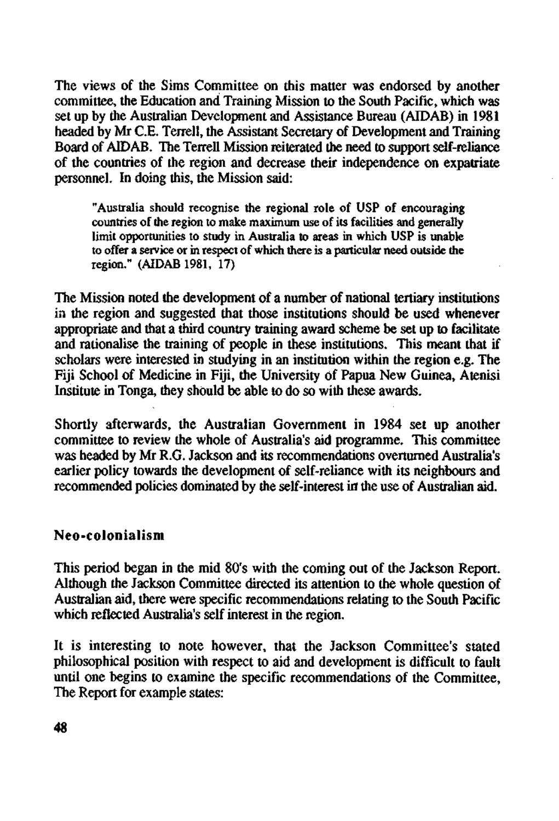The views of the Sims Committee on this matter was endorsed by another committee, the Education and Training Mission to the South Pacific, which was set up by the Australian Development and Assistance Bureau (AIDAB) in 1981 headed by Mr C.E. Terrell, the Assistant Secretary of Development and Training Board of AIDAB. The Terrell Mission reiterated the need to support self-reliance of the countries of the region and decrease their independence on expatriate personnel. In doing this, the Mission said:

"Australia should recognise the regional role of USP of encouraging countries of the region to make maximum use of its facilities and generally limit opportunities to study in Australia to areas in which USP is unable to offer a service or in respect of which there is a particular need outside the region." (AIDAB 1981, 17)

The Mission noted the development of a number of national tertiary institutions in the region and suggested that those institutions should be used whenever appropriate and that a third country training award scheme be set up to facilitate and rationalise the training of people in these institutions. This meant that if scholars were interested in studying in an institution within the region e.g. The Fiji School of Medicine in Fiji, the University of Papua New Guinea, Atenisi Institute in Tonga, they should be able to do so with these awards.

Shortly afterwards, the Australian Government in 1984 set up another committee to review the whole of Australia's aid programme. This committee was headed by Mr R.G. Jackson and its recommendations overturned Australia's earlier policy towards the development of self-reliance with its neighbours and recommended policies dominated by the self-interest in the use of Australian aid.

#### Neo-colonialism

This period began in the mid 80's with the coming out of the Jackson Report. Although the Jackson Committee directed its attention to the whole question of Australian aid, there were specific recommendations relating to the South Pacific which reflected Australia's self interest in the region.

It is interesting to note however, that the Jackson Committee's stated philosophical position with respect to aid and development is difficult to fault until one begins to examine the specific recommendations of the Committee, The Report for example states: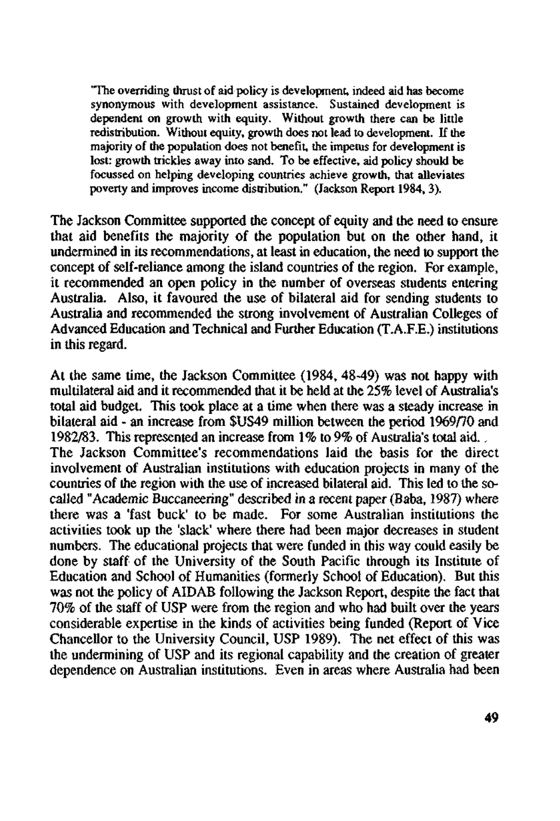"The overriding thrust of aid policy is development, indeed aid has become synonymous with development assistance. Sustained development is dependent on growth with equity. Without growth there can be little redistribution. Without equity, growth does not lead to development. If the majority of the population does not benefit, the impetus for development is lost: growth trickles away into sand. To be effective, aid policy should be focussed on helping developing countries achieve growth, that alleviates poverty and improves income distribution." (Jackson Report 1984, 3).

The Jackson Committee supported the concept of equity and the need to ensure that aid benefits the majority of the population but on the other hand, it undermined in its recommendations, at least in education, the need to support the concept of self-reliance among the island countries of the region. For example, it recommended an open policy in the number of overseas students entering Australia. Also, it favoured the use of bilateral aid for sending students to Australia and recommended the strong involvement of Australian Colleges of Advanced Education and Technical and Further Education (T.A.F.E.) institutions in this regard.

At the same time, the Jackson Committee (1984, 48-49) was not happy with multilateral aid and it recommended that it be held at the 25% level of Australia's total aid budget. This took place at a time when there was a steady increase in bilateral aid - an increase from \$US49 million between the period 1969/70 and 1982/83. This represented an increase from 1% to 9% of Australia's total aid., The Jackson Committee's recommendations laid the basis for the direct involvement of Australian institutions with education projects in many of the countries of the region with the use of increased bilateral aid. This led to the socalled "Academic Buccaneering" described in a recent paper (Baba, 1987) where there was a 'fast buck' to be made. For some Australian institutions the activities took up the 'slack' where there had been major decreases in student numbers. The educational projects that were funded in this way could easily be done by staff of the University of the South Pacific through its Institute of Education and School of Humanities (formerly School of Education). But this was not the policy of AIDAB following the Jackson Report, despite the fact that 70% of the staff of USP were from the region and who had built over the years considerable expertise in the kinds of activities being funded (Report of Vice Chancellor to the University Council, USP 1989). The net effect of this was the undermining of USP and its regional capability and the creation of greater dependence on Australian institutions. Even in areas where Australia had been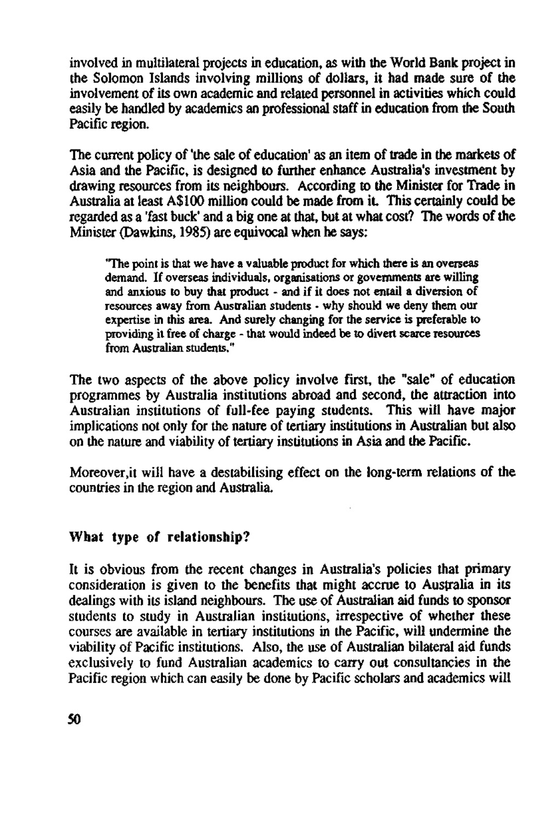involved in multilateral projects in education, as with the World Bank project in the Solomon Islands involving millions of dollars, it had made sure of the involvement of its own academic and related personnel in activities which could easily be handled by academics an professional staff in education from the South Pacific region.

The current policy of 'the sale of education' as an item of trade in the markets of Asia and the Pacific, is designed to further enhance Australia's investment by drawing resources from its neighbours. According to the Minister for Trade in Australia at least A\$100 million could be made from it. This certainly could be regarded as a 'fast buck' and a big one at that, but at what cost? The words of the Minister (Dawkins, 1985) are equivocal when he says:

"The point is that we have a valuable product for which there is an overseas demand. If overseas individuals, organisations or governments are willing and anxious to buy that product - and if it does not entail a diversion of resources away from Australian students - why should we deny them our expertise in this area. And surely changing for the service is preferable to providing it free of charge - that would indeed be to divert scarce resources from Australian students."

The two aspects of the above policy involve first, the "sale" of education programmes by Australia institutions abroad and second, the attraction into Australian institutions of full-fee paying students. This will have major implications not only for the nature of tertiary institutions in Australian but also on the nature and viability of tertiary institutions in Asia and the Pacific.

<Moreover.it>will have a destabilising effect on the long-term relations of the countries in the region and Australia.

### What type of relationship?

It is obvious from the recent changes in Australia's policies that primary consideration is given to the benefits that might accrue to Australia in its dealings with its island neighbours. The use of Australian aid funds to sponsor students to study in Australian institutions, irrespective of whether these courses are available in tertiary institutions in the Pacific, will undermine the viability of Pacific institutions. Also, the use of Australian bilateral aid funds exclusively to fund Australian academics to carry out consultancies in the Pacific region which can easily be done by Pacific scholars and academics will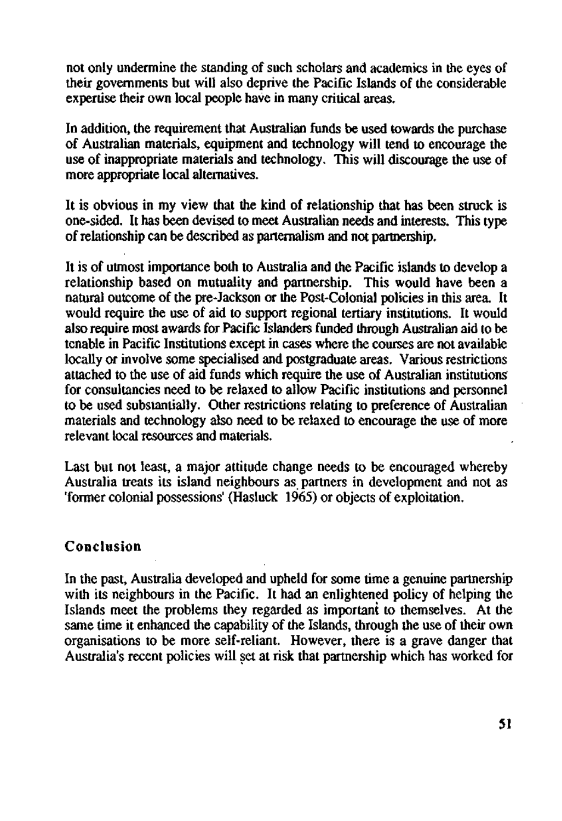not only undermine the standing of such scholars and academics in the eyes of their governments but will also deprive the Pacific Islands of the considerable expertise their own local people have in many critical areas.

In addition, the requirement that Australian funds be used towards the purchase of Australian materials, equipment and technology will tend to encourage the use of inappropriate materials and technology. This will discourage the use of more appropriate local alternatives.

It is obvious in my view that the kind of relationship that has been struck is one-sided. It has been devised to meet Australian needs and interests. This type of relationship can be described as parternalism and not partnership.

It is of utmost importance both to Australia and the Pacific islands to develop a relationship based on mutuality and partnership. This would have been a natural outcome of the pre-Jackson or the Post-Colonial policies in this area. It would require the use of aid to support regional tertiary institutions. It would also require most awards for Pacific Islanders funded through Australian aid to be tenable in Pacific Institutions except in cases where the courses are not available locally or involve some specialised and postgraduate areas. Various restrictions attached to the use of aid funds which require the use of Australian institutions for consultancies need to be relaxed to allow Pacific institutions and personnel to be used substantially. Other restrictions relating to preference of Australian materials and technology also need to be relaxed to encourage the use of more relevant local resources and materials.

Last but not least, a major attitude change needs to be encouraged whereby Australia treats its island neighbours as partners in development and not as 'former colonial possessions' (Hasluck 1965) or objects of exploitation.

## Conclusion

In the past, Australia developed and upheld for some time a genuine partnership with its neighbours in the Pacific. It had an enlightened policy of helping the Islands meet the problems they regarded as important to themselves. At the same time it enhanced the capability of the Islands, through the use of their own organisations to be more self-reliant. However, there is a grave danger that Australia's recent policies will set at risk that partnership which has worked for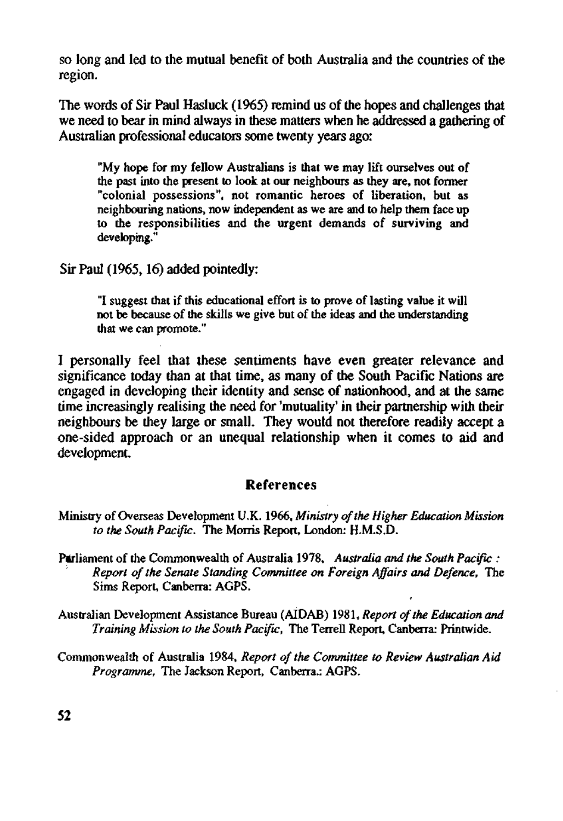so long and led to the mutual benefit of both Australia and the countries of the region.

The words of Sir Paul Hasluck (1965) remind us of the hopes and challenges that we need to bear in mind always in these matters when he addressed a gathering of Australian professional educators some twenty years ago:

"My hope for my fellow Australians is that we may lift ourselves out of the past into the present to look at our neighbours as they are, not former "colonial possessions", not romantic heroes of liberation, but as neighbouring nations, now independent as we are and to help them face up to the responsibilities and the urgent demands of surviving and developing."

Sir Paul (1965,16) added pointedly:

"I suggest that if this educational effort is to prove of lasting value it will not be because of the skills we give but of the ideas and the understanding that we can promote."

I personally feel that these sentiments have even greater relevance and significance today than at that time, as many of the South Pacific Nations are engaged in developing their identity and sense of nationhood, and at the same time increasingly realising the need for 'mutuality' in their partnership with their neighbours be they large or small. They would not therefore readily accept a one-sided approach or an unequal relationship when it comes to aid and development.

#### References

- Ministry of Overseas Development U.K. 1966, *Ministry of the Higher Education Mission to the South Pacific.* The Morris Report, London: H.M.S.D.
- Parliament of the Commonwealth of Australia 1978, *Australia and the South Pacific : Report of the Senate Standing Committee on Foreign Affairs and Defence,* The Sims Report, Canberra: AGPS.
- Australian Development Assistance Bureau (AIDAB) 1981, *Report of the Education and Training Mission to the South Pacific,* The Terrell Report, Canberra: Printwide.
- Commonwealth of Australia 1984, *Report of the Committee to Review Australian Aid Programme,* The Jackson Report, Canberra.: AGPS.